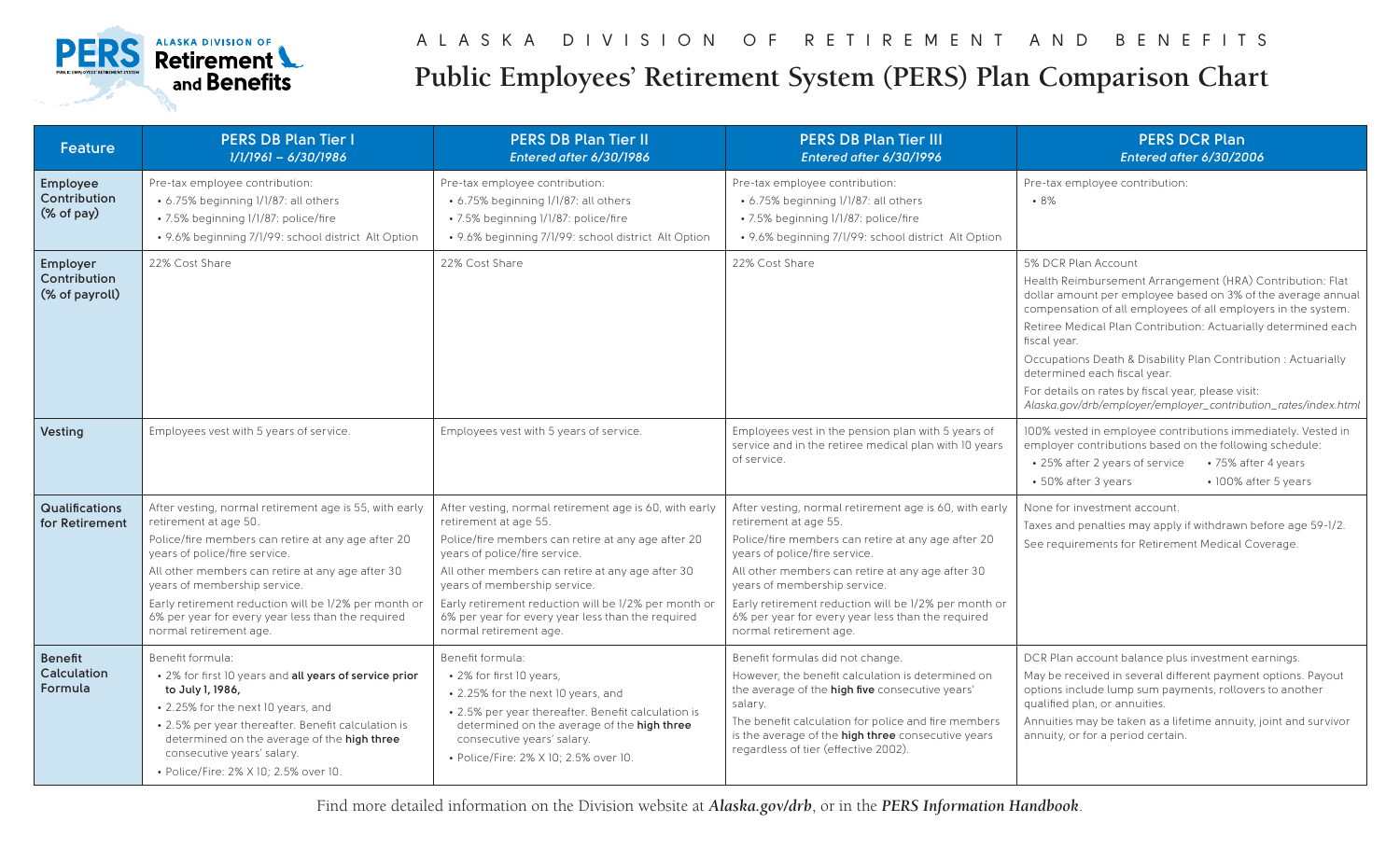

## **Public Employees' Retirement System (PERS) Plan Comparison Chart**

| <b>Feature</b>                             | <b>PERS DB Plan Tier I</b><br>$1/1/1961 - 6/30/1986$                                                                                                                                                                                                                                                                                                                                              | <b>PERS DB Plan Tier II</b><br>Entered after 6/30/1986                                                                                                                                                                                                                                                                                                                                            | <b>PERS DB Plan Tier III</b><br>Entered after 6/30/1996                                                                                                                                                                                                                                                                                                                                           | <b>PERS DCR Plan</b><br>Entered after 6/30/2006                                                                                                                                                                                                                                                                                                                                                                                                                                                                               |
|--------------------------------------------|---------------------------------------------------------------------------------------------------------------------------------------------------------------------------------------------------------------------------------------------------------------------------------------------------------------------------------------------------------------------------------------------------|---------------------------------------------------------------------------------------------------------------------------------------------------------------------------------------------------------------------------------------------------------------------------------------------------------------------------------------------------------------------------------------------------|---------------------------------------------------------------------------------------------------------------------------------------------------------------------------------------------------------------------------------------------------------------------------------------------------------------------------------------------------------------------------------------------------|-------------------------------------------------------------------------------------------------------------------------------------------------------------------------------------------------------------------------------------------------------------------------------------------------------------------------------------------------------------------------------------------------------------------------------------------------------------------------------------------------------------------------------|
| Employee<br>Contribution<br>(% of pay)     | Pre-tax employee contribution:<br>• 6.75% beginning 1/1/87: all others<br>• 7.5% beginning 1/1/87: police/fire<br>• 9.6% beginning 7/1/99: school district Alt Option                                                                                                                                                                                                                             | Pre-tax employee contribution:<br>• 6.75% beginning 1/1/87: all others<br>• 7.5% beginning 1/1/87: police/fire<br>• 9.6% beginning 7/1/99: school district Alt Option                                                                                                                                                                                                                             | Pre-tax employee contribution:<br>• 6.75% beginning 1/1/87: all others<br>• 7.5% beginning 1/1/87: police/fire<br>• 9.6% beginning 7/1/99: school district Alt Option                                                                                                                                                                                                                             | Pre-tax employee contribution:<br>•8%                                                                                                                                                                                                                                                                                                                                                                                                                                                                                         |
| Employer<br>Contribution<br>(% of payroll) | 22% Cost Share                                                                                                                                                                                                                                                                                                                                                                                    | 22% Cost Share                                                                                                                                                                                                                                                                                                                                                                                    | 22% Cost Share                                                                                                                                                                                                                                                                                                                                                                                    | 5% DCR Plan Account<br>Health Reimbursement Arrangement (HRA) Contribution: Flat<br>dollar amount per employee based on 3% of the average annual<br>compensation of all employees of all employers in the system.<br>Retiree Medical Plan Contribution: Actuarially determined each<br>fiscal year.<br>Occupations Death & Disability Plan Contribution : Actuarially<br>determined each fiscal year.<br>For details on rates by fiscal year, please visit:<br>Alaska.gov/drb/employer/employer_contribution_rates/index.html |
| Vesting                                    | Employees vest with 5 years of service.                                                                                                                                                                                                                                                                                                                                                           | Employees vest with 5 years of service.                                                                                                                                                                                                                                                                                                                                                           | Employees vest in the pension plan with 5 years of<br>service and in the retiree medical plan with 10 years<br>of service.                                                                                                                                                                                                                                                                        | 100% vested in employee contributions immediately. Vested in<br>employer contributions based on the following schedule:<br>• 25% after 2 years of service<br>• 75% after 4 years<br>• 50% after 3 years<br>• 100% after 5 years                                                                                                                                                                                                                                                                                               |
| <b>Qualifications</b><br>for Retirement    | After vesting, normal retirement age is 55, with early<br>retirement at age 50.<br>Police/fire members can retire at any age after 20<br>years of police/fire service.<br>All other members can retire at any age after 30<br>years of membership service.<br>Early retirement reduction will be 1/2% per month or<br>6% per year for every year less than the required<br>normal retirement age. | After vesting, normal retirement age is 60, with early<br>retirement at age 55.<br>Police/fire members can retire at any age after 20<br>years of police/fire service.<br>All other members can retire at any age after 30<br>years of membership service.<br>Early retirement reduction will be 1/2% per month or<br>6% per year for every year less than the required<br>normal retirement age. | After vesting, normal retirement age is 60, with early<br>retirement at age 55.<br>Police/fire members can retire at any age after 20<br>years of police/fire service.<br>All other members can retire at any age after 30<br>years of membership service.<br>Early retirement reduction will be 1/2% per month or<br>6% per year for every year less than the required<br>normal retirement age. | None for investment account.<br>Taxes and penalties may apply if withdrawn before age 59-1/2.<br>See requirements for Retirement Medical Coverage.                                                                                                                                                                                                                                                                                                                                                                            |
| <b>Benefit</b><br>Calculation<br>Formula   | Benefit formula:<br>• 2% for first 10 years and all years of service prior<br>to July 1, 1986,<br>• 2.25% for the next 10 years, and<br>• 2.5% per year thereafter. Benefit calculation is<br>determined on the average of the high three<br>consecutive years' salary.<br>• Police/Fire: 2% X 10: 2.5% over 10.                                                                                  | Benefit formula:<br>• 2% for first 10 years,<br>• 2.25% for the next 10 years, and<br>• 2.5% per year thereafter. Benefit calculation is<br>determined on the average of the high three<br>consecutive years' salary.<br>• Police/Fire: 2% X 10: 2.5% over 10.                                                                                                                                    | Benefit formulas did not change.<br>However, the benefit calculation is determined on<br>the average of the high five consecutive years'<br>salary.<br>The benefit calculation for police and fire members<br>is the average of the high three consecutive years<br>regardless of tier (effective 2002).                                                                                          | DCR Plan account balance plus investment earnings.<br>May be received in several different payment options. Payout<br>options include lump sum payments, rollovers to another<br>qualified plan, or annuities.<br>Annuities may be taken as a lifetime annuity, joint and survivor<br>annuity, or for a period certain.                                                                                                                                                                                                       |